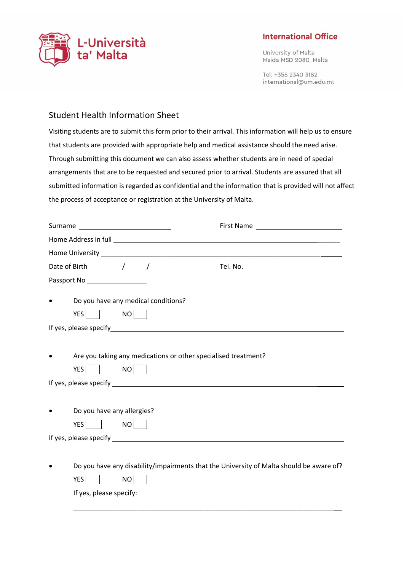

## **International Office**

University of Malta Msida MSD 2080, Malta

Tel: +356 2340 3182 international@um.edu.mt

## Student Health Information Sheet

Visiting students are to submit this form prior to their arrival. This information will help us to ensure that students are provided with appropriate help and medical assistance should the need arise. Through submitting this document we can also assess whether students are in need of special arrangements that are to be requested and secured prior to arrival. Students are assured that all submitted information is regarded as confidential and the information that is provided will not affect the process of acceptance or registration at the University of Malta.

|                                        | Surname ____________________________                                           |                                                                                         |
|----------------------------------------|--------------------------------------------------------------------------------|-----------------------------------------------------------------------------------------|
|                                        |                                                                                |                                                                                         |
|                                        |                                                                                |                                                                                         |
|                                        | Date of Birth $\_\_\_\_\_\_\_\_\_\_\_\_\_\_\_\_\_\_\_\_\_\_\_\_\_\_\_\_\_\_\_$ |                                                                                         |
| Passport No __________________         |                                                                                |                                                                                         |
| $YES$ NO $\Box$                        | Do you have any medical conditions?                                            |                                                                                         |
|                                        |                                                                                |                                                                                         |
| YES I                                  | NO                                                                             | Are you taking any medications or other specialised treatment?                          |
| Do you have any allergies?<br>YES   NO |                                                                                |                                                                                         |
|                                        |                                                                                |                                                                                         |
| YES    <br>If yes, please specify:     | NO <b>NO</b>                                                                   | Do you have any disability/impairments that the University of Malta should be aware of? |
|                                        |                                                                                |                                                                                         |